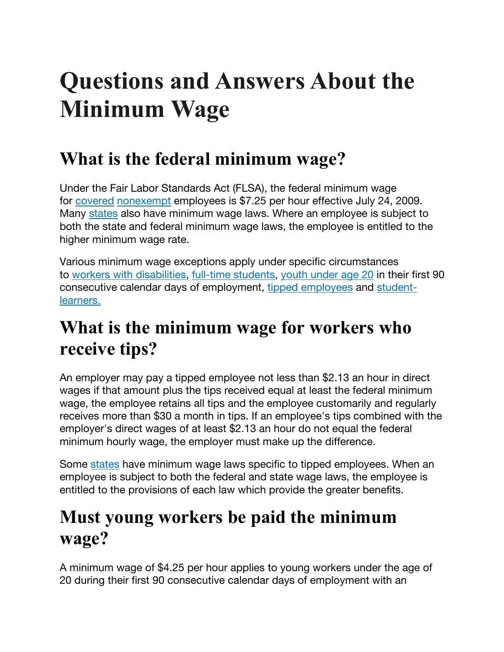# **Questions and Answers About the Minimum Wage**

#### **What is the federal minimum wage?**

Under the Fair Labor Standards Act (FLSA), the federal minimum wage for covered nonexempt employees is \$7.25 per hour effective July 24, 2009. Many states also have minimum wage laws. Where an employee is subject to both the state and federal minimum wage laws, the employee is entitled to the higher minimum wage rate.

Various minimum wage exceptions apply under specific circumstances to workers with disabilities, full-time students, youth under age 20 in their first 90 consecutive calendar days of employment, tipped employees and studentlearners.

#### **What is the minimum wage for workers who receive tips?**

An employer may pay a tipped employee not less than \$2.13 an hour in direct wages if that amount plus the tips received equal at least the federal minimum wage, the employee retains all tips and the employee customarily and regularly receives more than \$30 a month in tips. If an employee's tips combined with the employer's direct wages of at least \$2.13 an hour do not equal the federal minimum hourly wage, the employer must make up the difference.

Some states have minimum wage laws specific to tipped employees. When an employee is subject to both the federal and state wage laws, the employee is entitled to the provisions of each law which provide the greater benefits.

### **Must young workers be paid the minimum wage?**

A minimum wage of \$4.25 per hour applies to young workers under the age of 20 during their first 90 consecutive calendar days of employment with an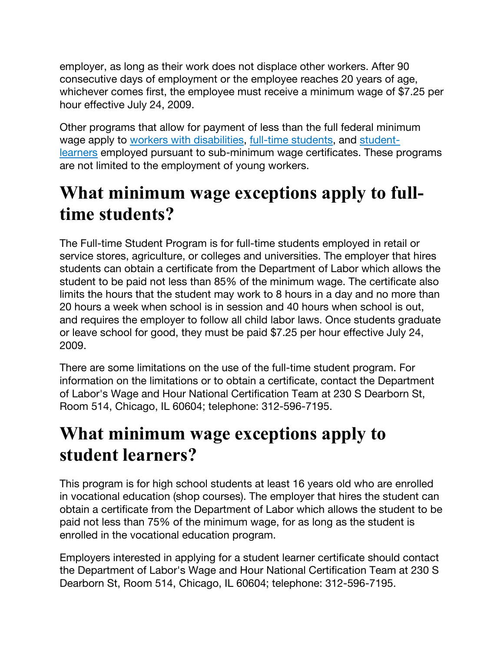employer, as long as their work does not displace other workers. After 90 consecutive days of employment or the employee reaches 20 years of age, whichever comes first, the employee must receive a minimum wage of \$7.25 per hour effective July 24, 2009.

Other programs that allow for payment of less than the full federal minimum wage apply to workers with disabilities, full-time students, and studentlearners employed pursuant to sub-minimum wage certificates. These programs are not limited to the employment of young workers.

#### **What minimum wage exceptions apply to fulltime students?**

The Full-time Student Program is for full-time students employed in retail or service stores, agriculture, or colleges and universities. The employer that hires students can obtain a certificate from the Department of Labor which allows the student to be paid not less than 85% of the minimum wage. The certificate also limits the hours that the student may work to 8 hours in a day and no more than 20 hours a week when school is in session and 40 hours when school is out, and requires the employer to follow all child labor laws. Once students graduate or leave school for good, they must be paid \$7.25 per hour effective July 24, 2009.

There are some limitations on the use of the full-time student program. For information on the limitations or to obtain a certificate, contact the Department of Labor's Wage and Hour National Certification Team at 230 S Dearborn St, Room 514, Chicago, IL 60604; telephone: 312-596-7195.

#### **What minimum wage exceptions apply to student learners?**

This program is for high school students at least 16 years old who are enrolled in vocational education (shop courses). The employer that hires the student can obtain a certificate from the Department of Labor which allows the student to be paid not less than 75% of the minimum wage, for as long as the student is enrolled in the vocational education program.

Employers interested in applying for a student learner certificate should contact the Department of Labor's Wage and Hour National Certification Team at 230 S Dearborn St, Room 514, Chicago, IL 60604; telephone: 312-596-7195.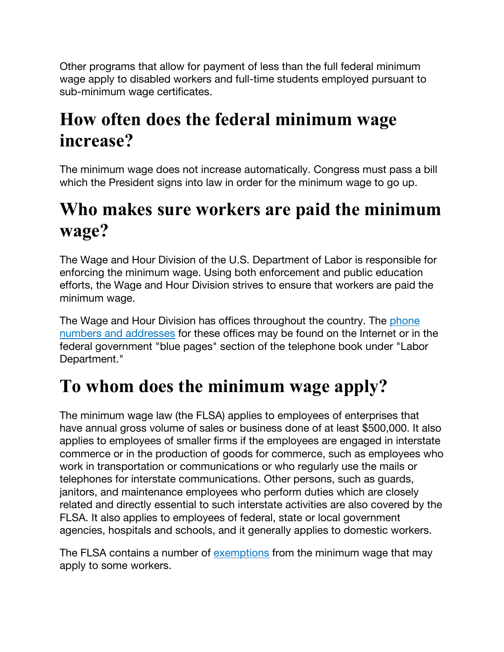Other programs that allow for payment of less than the full federal minimum wage apply to disabled workers and full-time students employed pursuant to sub-minimum wage certificates.

#### **How often does the federal minimum wage increase?**

The minimum wage does not increase automatically. Congress must pass a bill which the President signs into law in order for the minimum wage to go up.

### **Who makes sure workers are paid the minimum wage?**

The Wage and Hour Division of the U.S. Department of Labor is responsible for enforcing the minimum wage. Using both enforcement and public education efforts, the Wage and Hour Division strives to ensure that workers are paid the minimum wage.

The Wage and Hour Division has offices throughout the country. The phone numbers and addresses for these offices may be found on the Internet or in the federal government "blue pages" section of the telephone book under "Labor Department."

### **To whom does the minimum wage apply?**

The minimum wage law (the FLSA) applies to employees of enterprises that have annual gross volume of sales or business done of at least \$500,000. It also applies to employees of smaller firms if the employees are engaged in interstate commerce or in the production of goods for commerce, such as employees who work in transportation or communications or who regularly use the mails or telephones for interstate communications. Other persons, such as guards, janitors, and maintenance employees who perform duties which are closely related and directly essential to such interstate activities are also covered by the FLSA. It also applies to employees of federal, state or local government agencies, hospitals and schools, and it generally applies to domestic workers.

The FLSA contains a number of exemptions from the minimum wage that may apply to some workers.